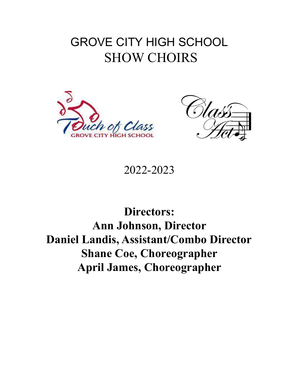# GROVE CITY HIGH SCHOOL SHOW CHOIRS





2022-2023

**Directors: Ann Johnson, Director Daniel Landis, Assistant/Combo Director Shane Coe, Choreographer April James, Choreographer**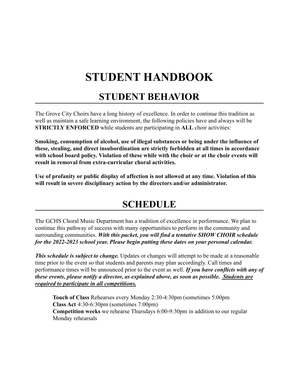# **STUDENT HANDBOOK**

### **STUDENT BEHAVIOR**

The Grove City Choirs have a long history of excellence. In order to continue this tradition as well as maintain a safe learning environment, the following policies have and always will be **STRICTLY ENFORCED** while students are participating in **ALL** choir activities:

**Smoking, consumption of alcohol, use of illegal substances or being under the influence of these, stealing, and direct insubordination are strictly forbidden at all times in accordance with school board policy. Violation of these while with the choir or at the choir events will result in removal from extra-curricular choral activities.**

**Use of profanity or public display of affection is not allowed at any time. Violation of this will result in severe disciplinary action by the directors and/or administrator.**

### **SCHEDULE**

The GCHS Choral Music Department has a tradition of excellence in performance. We plan to continue this pathway of success with many opportunities to perform in the community and surrounding communities. *With this packet, you will find a tentative SHOW CHOIR schedule for the 2022-2023 school year. Please begin putting these dates on your personal calendar.*

*This schedule is subject to change.* Updates or changes will attempt to be made at a reasonable time prior to the event so that students and parents may plan accordingly. Call times and performance times will be announced prior to the event as well. *If you have conflicts with any of these events, please notify a director, as explained above, as soon as possible. Students are required to participate in all competitions.*

**Touch of Class** Rehearses every Monday 2:30-4:30pm (sometimes 5:00pm **Class Act** 4:30-6:30pm (sometimes 7:00pm) **Competition weeks** we rehearse Thursdays 6:00-9:30pm in addition to our regular Monday rehearsals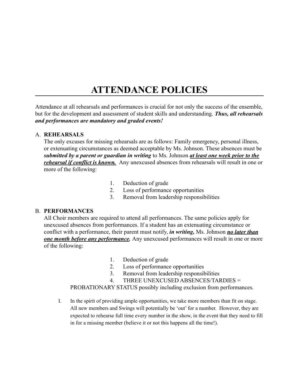### **ATTENDANCE POLICIES**

Attendance at all rehearsals and performances is crucial for not only the success of the ensemble, but for the development and assessment of student skills and understanding. *Thus, all rehearsals and performances are mandatory and graded events!*

#### A. **REHEARSALS**

The only excuses for missing rehearsals are as follows: Family emergency, personal illness, or extenuating circumstances as deemed acceptable by Ms. Johnson. These absences must be *submitted by a parent or guardian in writing* to Ms. Johnson *at least one week prior to the rehearsal if conflict is known.* Any unexcused absences from rehearsals will result in one or more of the following:

- 1. Deduction of grade
- 2. Loss of performance opportunities
- 3. Removal from leadership responsibilities

#### B. **PERFORMANCES**

All Choir members are required to attend all performances. The same policies apply for unexcused absences from performances. If a student has an extenuating circumstance or conflict with a performance, their parent must notify, *in writing,* Ms. Johnson *no later than one month before any performance.* Any unexcused performances will result in one or more of the following:

- 1. Deduction of grade
- 2. Loss of performance opportunities
- 3. Removal from leadership responsibilities
- 4. THREE UNEXCUSED ABSENCES/TARDIES =

PROBATIONARY STATUS possibly including exclusion from performances.

I. In the spirit of providing ample opportunities, we take more members than fit on stage. All new members and Swings will potentially be 'out' for a number. However, they are expected to rehearse full time every number in the show, in the event that they need to fill in for a missing member (believe it or not this happens all the time!).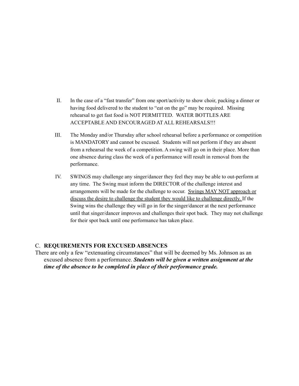- II. In the case of a "fast transfer" from one sport/activity to show choir, packing a dinner or having food delivered to the student to "eat on the go" may be required. Missing rehearsal to get fast food is NOT PERMITTED. WATER BOTTLES ARE ACCEPTABLE AND ENCOURAGED AT ALL REHEARSALS!!!
- III. The Monday and/or Thursday after school rehearsal before a performance or competition is MANDATORY and cannot be excused. Students will not perform if they are absent from a rehearsal the week of a competition. A swing will go on in their place. More than one absence during class the week of a performance will result in removal from the performance.
- IV. SWINGS may challenge any singer/dancer they feel they may be able to out-perform at any time. The Swing must inform the DIRECTOR of the challenge interest and arrangements will be made for the challenge to occur. Swings MAY NOT approach or discuss the desire to challenge the student they would like to challenge directly. If the Swing wins the challenge they will go in for the singer/dancer at the next performance until that singer/dancer improves and challenges their spot back. They may not challenge for their spot back until one performance has taken place.

#### C. **REQUIREMENTS FOR EXCUSED ABSENCES**

There are only a few "extenuating circumstances" that will be deemed by Ms. Johnson as an excused absence from a performance. *Students will be given a written assignment at the time of the absence to be completed in place of their performance grade.*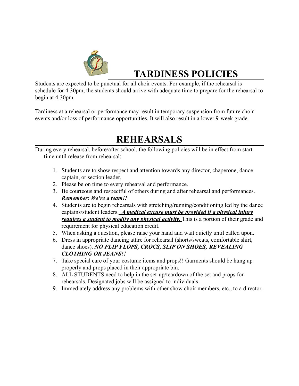

## **TARDINESS POLICIES**

Students are expected to be punctual for all choir events. For example, if the rehearsal is schedule for 4:30pm, the students should arrive with adequate time to prepare for the rehearsal to begin at 4:30pm.

Tardiness at a rehearsal or performance may result in temporary suspension from future choir events and/or loss of performance opportunities. It will also result in a lower 9-week grade.

### **REHEARSALS**

During every rehearsal, before/after school, the following policies will be in effect from start time until release from rehearsal:

- 1. Students are to show respect and attention towards any director, chaperone, dance captain, or section leader.
- 2. Please be on time to every rehearsal and performance.
- 3. Be courteous and respectful of others during and after rehearsal and performances. *Remember: We're a team!!*
- 4. Students are to begin rehearsals with stretching/running/conditioning led by the dance captains/student leaders. *A medical excuse must be provided if a physical injury requires a student to modify any physical activity.* This is a portion of their grade and requirement for physical education credit.
- 5. When asking a question, please raise your hand and wait quietly until called upon.
- 6. Dress in appropriate dancing attire for rehearsal (shorts/sweats, comfortable shirt, dance shoes). *NO FLIP FLOPS, CROCS, SLIP ON SHOES, REVEALING CLOTHING OR JEANS!!*
- 7. Take special care of your costume items and props!! Garments should be hung up properly and props placed in their appropriate bin.
- 8. ALL STUDENTS need to help in the set-up/teardown of the set and props for rehearsals. Designated jobs will be assigned to individuals.
- 9. Immediately address any problems with other show choir members, etc., to a director.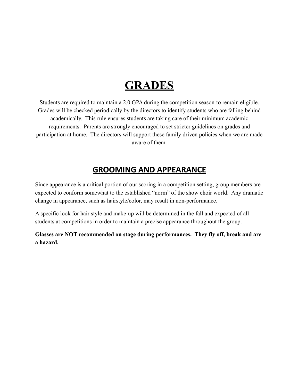## **GRADES**

Students are required to maintain a 2.0 GPA during the competition season to remain eligible. Grades will be checked periodically by the directors to identify students who are falling behind academically. This rule ensures students are taking care of their minimum academic requirements. Parents are strongly encouraged to set stricter guidelines on grades and participation at home. The directors will support these family driven policies when we are made aware of them.

#### **GROOMING AND APPEARANCE**

Since appearance is a critical portion of our scoring in a competition setting, group members are expected to conform somewhat to the established "norm" of the show choir world. Any dramatic change in appearance, such as hairstyle/color, may result in non-performance.

A specific look for hair style and make-up will be determined in the fall and expected of all students at competitions in order to maintain a precise appearance throughout the group.

**Glasses are NOT recommended on stage during performances. They fly off, break and are a hazard.**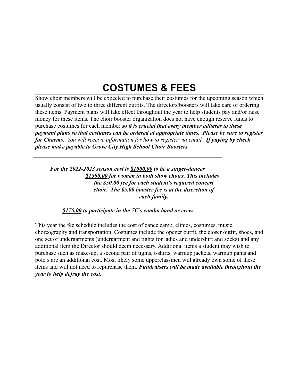## **COSTUMES & FEES**

Show choir members will be expected to purchase their costumes for the upcoming season which usually consist of two to three different outfits. The directors/boosters will take care of ordering these items. Payment plans will take effect throughout the year to help students pay and/or raise money for these items. The choir booster organization does not have enough reserve funds to purchase costumes for each member so *it is crucial that every member adheres to these payment plans so that costumes can be ordered at appropriate times. Please be sure to register for Charms. You will receive information for how to register via email. If paying by check please make payable to Grove City High School Choir Boosters.*

*For the 2022-2023 season cost is \$1000.00 to be a singer-dancer \$1500.00 for women in both show choirs. This includes the \$50.00 fee for each student's required concert choir. The \$5.00 booster fee is at the discretion of each family.*

*\$175.00 to participate in the 7C's combo band or crew.*

This year the fee schedule includes the cost of dance camp, clinics, costumes, music, choreography and transportation. Costumes include the opener outfit, the closer outfit, shoes, and one set of undergarments (undergarment and tights for ladies and undershirt and socks) and any additional item the Director should deem necessary. Additional items a student may wish to purchase such as make-up, a second pair of tights, t-shirts, warmup jackets, warmup pants and polo's are an additional cost. Most likely some upperclassmen will already own some of these items and will not need to repurchase them. *Fundraisers will be made available throughout the year to help defray the cost.*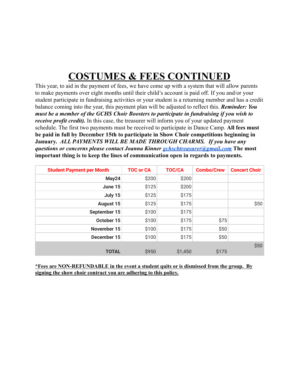# **COSTUMES & FEES CONTINUED**

This year, to aid in the payment of fees, we have come up with a system that will allow parents to make payments over eight months until their child's account is paid off. If you and/or your student participate in fundraising activities or your student is a returning member and has a credit balance coming into the year, this payment plan will be adjusted to reflect this. *Reminder: You must be a member of the GCHS Choir Boosters to participate in fundraising if you wish to receive profit credit)*. In this case, the treasurer will inform you of your updated payment schedule. The first two payments must be received to participate in Dance Camp. **All fees must be paid in full by December 15th to participate in Show Choir competitions beginning in January.** *ALL PAYMENTS WILL BE MADE THROUGH CHARMS. If you have any questions or concerns please contact Joanna Kinner [gchscbtreasurer@gmail.com](mailto:gchscbassistanttreasurer@gmail.com)* **The most important thing is to keep the lines of communication open in regards to payments.**

| <b>Student Payment per Month</b> | <b>TOC or CA</b> | <b>TOC/CA</b> | <b>Combo/Crew</b> | <b>Concert Choir</b> |
|----------------------------------|------------------|---------------|-------------------|----------------------|
| May24                            | \$200            | \$200         |                   |                      |
| June 15                          | \$125            | \$200         |                   |                      |
| July 15                          | \$125            | \$175         |                   |                      |
| <b>August 15</b>                 | \$125            | \$175         |                   | \$50                 |
| September 15                     | \$100            | \$175         |                   |                      |
| October 15                       | \$100            | \$175         | \$75              |                      |
| <b>November 15</b>               | \$100            | \$175         | \$50              |                      |
| December 15                      | \$100            | \$175         | \$50              |                      |
|                                  |                  |               |                   | \$50                 |
| <b>TOTAL</b>                     | \$950            | \$1,450       | \$175             |                      |

**\*Fees are NON-REFUNDABLE in the event a student quits or is dismissed from the group. By signing the show choir contract you are adhering to this policy.**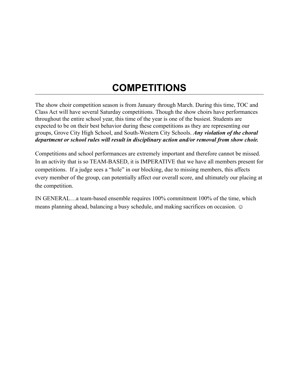## **COMPETITIONS**

The show choir competition season is from January through March. During this time, TOC and Class Act will have several Saturday competitions. Though the show choirs have performances throughout the entire school year, this time of the year is one of the busiest. Students are expected to be on their best behavior during these competitions as they are representing our groups, Grove City High School, and South-Western City Schools. *Any violation of the choral department or school rules will result in disciplinary action and/or removal from show choir.*

Competitions and school performances are extremely important and therefore cannot be missed. In an activity that is so TEAM-BASED, it is IMPERATIVE that we have all members present for competitions. If a judge sees a "hole" in our blocking, due to missing members, this affects every member of the group, can potentially affect our overall score, and ultimately our placing at the competition.

IN GENERAL…a team-based ensemble requires 100% commitment 100% of the time, which means planning ahead, balancing a busy schedule, and making sacrifices on occasion.  $\odot$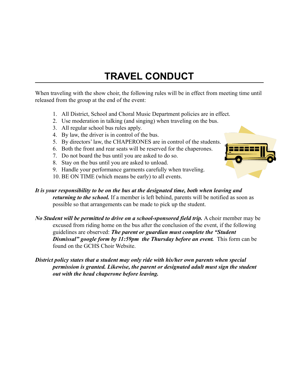## **TRAVEL CONDUCT**

When traveling with the show choir, the following rules will be in effect from meeting time until released from the group at the end of the event:

- 1. All District, School and Choral Music Department policies are in effect.
- 2. Use moderation in talking (and singing) when traveling on the bus.
- 3. All regular school bus rules apply.
- 4. By law, the driver is in control of the bus.
- 5. By directors' law, the CHAPERONES are in control of the students.
- 6. Both the front and rear seats will be reserved for the chaperones.
- 7. Do not board the bus until you are asked to do so.
- 8. Stay on the bus until you are asked to unload.
- 9. Handle your performance garments carefully when traveling.
- 10. BE ON TIME (which means be early) to all events.



#### *It is your responsibility to be on the bus at the designated time, both when leaving and returning to the school.* If a member is left behind, parents will be notified as soon as possible so that arrangements can be made to pick up the student.

- *No Student will be permitted to drive on a school-sponsored field trip.* A choir member may be excused from riding home on the bus after the conclusion of the event, if the following guidelines are observed: *The parent or guardian must complete the "Student Dismissal" google form by 11:59pm the Thursday before an event.* This form can be found on the GCHS Choir Website.
- *District policy states that a student may only ride with his/her own parents when special permission is granted. Likewise, the parent or designated adult must sign the student out with the head chaperone before leaving.*